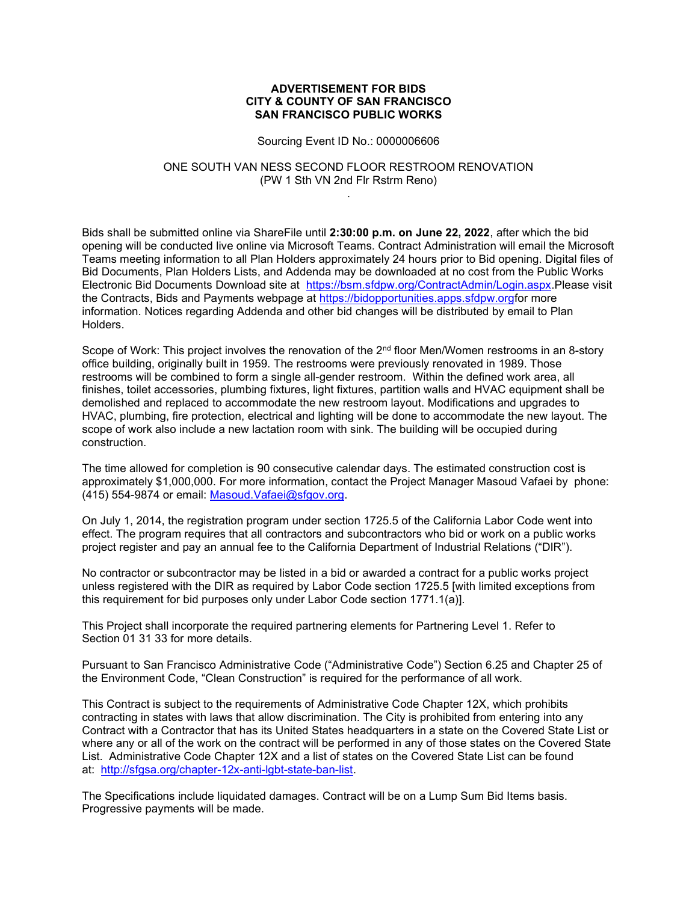## ADVERTISEMENT FOR BIDS CITY & COUNTY OF SAN FRANCISCO SAN FRANCISCO PUBLIC WORKS

Sourcing Event ID No.: 0000006606

## ONE SOUTH VAN NESS SECOND FLOOR RESTROOM RENOVATION (PW 1 Sth VN 2nd Flr Rstrm Reno) .

Bids shall be submitted online via ShareFile until 2:30:00 p.m. on June 22, 2022, after which the bid opening will be conducted live online via Microsoft Teams. Contract Administration will email the Microsoft Teams meeting information to all Plan Holders approximately 24 hours prior to Bid opening. Digital files of Bid Documents, Plan Holders Lists, and Addenda may be downloaded at no cost from the Public Works Electronic Bid Documents Download site at https://bsm.sfdpw.org/ContractAdmin/Login.aspx.Please visit the Contracts, Bids and Payments webpage at https://bidopportunities.apps.sfdpw.orgfor more information. Notices regarding Addenda and other bid changes will be distributed by email to Plan Holders.

Scope of Work: This project involves the renovation of the 2<sup>nd</sup> floor Men/Women restrooms in an 8-story office building, originally built in 1959. The restrooms were previously renovated in 1989. Those restrooms will be combined to form a single all-gender restroom. Within the defined work area, all finishes, toilet accessories, plumbing fixtures, light fixtures, partition walls and HVAC equipment shall be demolished and replaced to accommodate the new restroom layout. Modifications and upgrades to HVAC, plumbing, fire protection, electrical and lighting will be done to accommodate the new layout. The scope of work also include a new lactation room with sink. The building will be occupied during construction.

The time allowed for completion is 90 consecutive calendar days. The estimated construction cost is approximately \$1,000,000. For more information, contact the Project Manager Masoud Vafaei by phone: (415) 554-9874 or email: Masoud.Vafaei@sfgov.org.

On July 1, 2014, the registration program under section 1725.5 of the California Labor Code went into effect. The program requires that all contractors and subcontractors who bid or work on a public works project register and pay an annual fee to the California Department of Industrial Relations ("DIR").

No contractor or subcontractor may be listed in a bid or awarded a contract for a public works project unless registered with the DIR as required by Labor Code section 1725.5 [with limited exceptions from this requirement for bid purposes only under Labor Code section 1771.1(a)].

This Project shall incorporate the required partnering elements for Partnering Level 1. Refer to Section 01 31 33 for more details.

Pursuant to San Francisco Administrative Code ("Administrative Code") Section 6.25 and Chapter 25 of the Environment Code, "Clean Construction" is required for the performance of all work.

This Contract is subject to the requirements of Administrative Code Chapter 12X, which prohibits contracting in states with laws that allow discrimination. The City is prohibited from entering into any Contract with a Contractor that has its United States headquarters in a state on the Covered State List or where any or all of the work on the contract will be performed in any of those states on the Covered State List. Administrative Code Chapter 12X and a list of states on the Covered State List can be found at: http://sfgsa.org/chapter-12x-anti-lgbt-state-ban-list.

The Specifications include liquidated damages. Contract will be on a Lump Sum Bid Items basis. Progressive payments will be made.